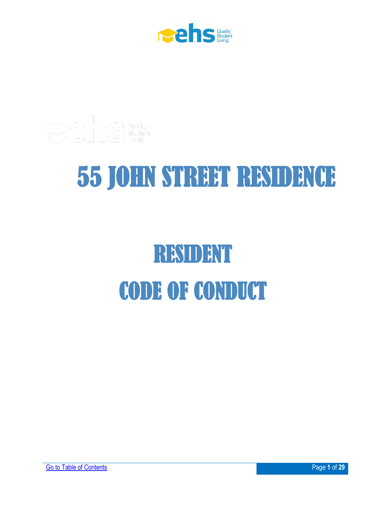

# 55 JOHN STREET RESIDENCE

# RESIDENT CODE OF CONDUCT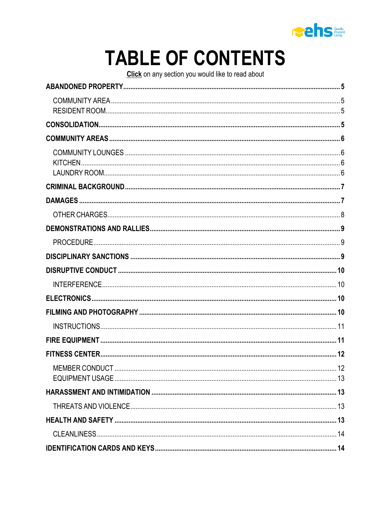

## **TABLE OF CONTENTS**

Click on any section you would like to read about

<span id="page-1-0"></span>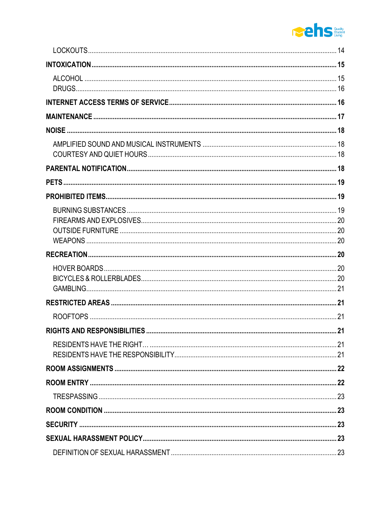

| RIGHTS AND RESPONSIBIL ITIES | 21 |
|------------------------------|----|
|                              |    |
|                              |    |
|                              |    |
|                              |    |
|                              |    |
|                              |    |
|                              |    |
|                              |    |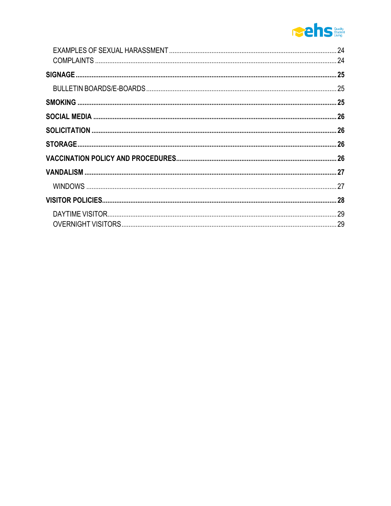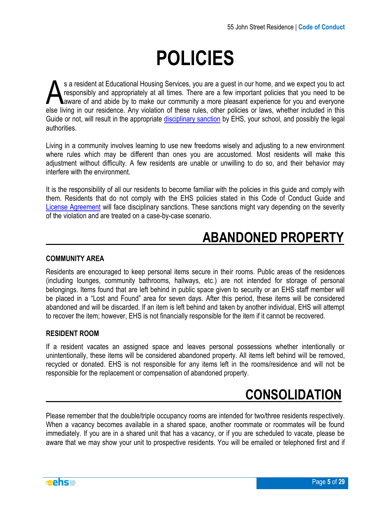## **POLICIES**

s a resident at Educational Housing Services, you are a guest in our home, and we expect you to act responsibly and appropriately at all times. There are a few important policies that you need to be aware of and abide by to make our community a more pleasant experience for you and everyone s a resident at Educational Housing Services, you are a guest in our home, and we expect you to act responsibly and appropriately at all times. There are a few important policies that you need to be aware of and abide by t Guide or not, will result in the appropriate [disciplinary sanction](#page-8-3) by EHS, your school, and possibly the legal authorities.

Living in a community involves learning to use new freedoms wisely and adjusting to a new environment where rules which may be different than ones you are accustomed. Most residents will make this adjustment without difficulty. A few residents are unable or unwilling to do so, and their behavior may interfere with the environment.

<span id="page-4-4"></span>It is the responsibility of all our residents to become familiar with the policies in this guide and comply with them. Residents that do not comply with the EHS policies stated in this Code of Conduct Guide and [License Agreement](https://assets.ctfassets.net/vne2flhojsyj/7B90IrgIfAo8Y6ZKxTZp6I/81dfcc1a780b3cc31bca32c0bca05a52/Official_John_Street.pdf) will face disciplinary sanctions. These sanctions might vary depending on the severity of the violation and are treated on a case-by-case scenario.

### <span id="page-4-0"></span> **ABANDONED PROPERTY**

#### <span id="page-4-1"></span>**COMMUNITY AREA**

Residents are encouraged to keep personal items secure in their rooms. Public areas of the residences (including lounges, community bathrooms, hallways, etc.) are not intended for storage of personal belongings. Items found that are left behind in public space given to security or an EHS staff member will be placed in a "Lost and Found" area for seven days. After this period, these items will be considered abandoned and will be discarded. If an item is left behind and taken by another individual, EHS will attempt to recover the item; however, EHS is not financially responsible for the item if it cannot be recovered.

#### <span id="page-4-2"></span>**RESIDENT ROOM**

If a resident vacates an assigned space and leaves personal possessions whether intentionally or unintentionally, these items will be considered abandoned property. All items left behind will be removed, recycled or donated. EHS is not responsible for any items left in the rooms/residence and will not be responsible for the replacement or compensation of abandoned property.

### <span id="page-4-3"></span> **CONSOLIDATION**

Please remember that the double/triple occupancy rooms are intended for two/three residents respectively. When a vacancy becomes available in a shared space, another roommate or roommates will be found immediately. If you are in a shared unit that has a vacancy, or if you are scheduled to vacate, please be aware that we may show your unit to prospective residents. You will be emailed or telephoned first and if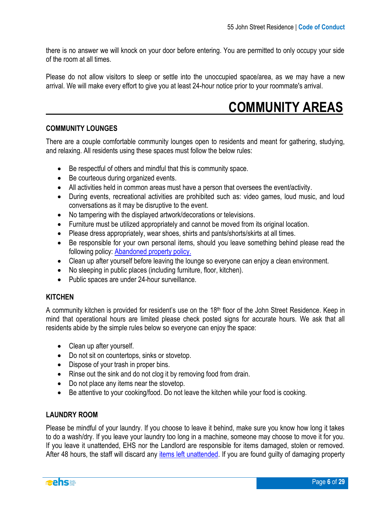there is no answer we will knock on your door before entering. You are permitted to only occupy your side of the room at all times.

Please do not allow visitors to sleep or settle into the unoccupied space/area, as we may have a new arrival. We will make every effort to give you at least 24-hour notice prior to your roommate's arrival.

### <span id="page-5-0"></span> **COMMUNITY AREAS**

#### <span id="page-5-1"></span>**COMMUNITY LOUNGES**

There are a couple comfortable community lounges open to residents and meant for gathering, studying, and relaxing. All residents using these spaces must follow the below rules:

- Be respectful of others and mindful that this is community space.
- Be courteous during organized events.
- All activities held in common areas must have a person that oversees the event/activity.
- During events, recreational activities are prohibited such as: video games, loud music, and loud conversations as it may be disruptive to the event.
- No tampering with the displayed artwork/decorations or televisions.
- Furniture must be utilized appropriately and cannot be moved from its original location.
- Please dress appropriately, wear shoes, shirts and pants/shorts/skirts at all times.
- Be responsible for your own personal items, should you leave something behind please read the following policy: [Abandoned property policy.](#page-4-4)
- Clean up after yourself before leaving the lounge so everyone can enjoy a clean environment.
- No sleeping in public places (including furniture, floor, kitchen).
- Public spaces are under 24-hour surveillance.

#### <span id="page-5-2"></span>**KITCHEN**

A community kitchen is provided for resident's use on the 18th floor of the John Street Residence. Keep in mind that operational hours are limited please check posted signs for accurate hours. We ask that all residents abide by the simple rules below so everyone can enjoy the space:

- Clean up after yourself.
- Do not sit on countertops, sinks or stovetop.
- Dispose of your trash in proper bins.
- Rinse out the sink and do not clog it by removing food from drain.
- Do not place any items near the stovetop.
- Be attentive to your cooking/food. Do not leave the kitchen while your food is cooking.

#### <span id="page-5-3"></span>**LAUNDRY ROOM**

Please be mindful of your laundry. If you choose to leave it behind, make sure you know how long it takes to do a wash/dry. If you leave your laundry too long in a machine, someone may choose to move it for you. If you leave it unattended, EHS nor the Landlord are responsible for items damaged, stolen or removed. After 48 hours, the staff will discard any [items left unattended.](#page-4-4) If you are found guilty of damaging property

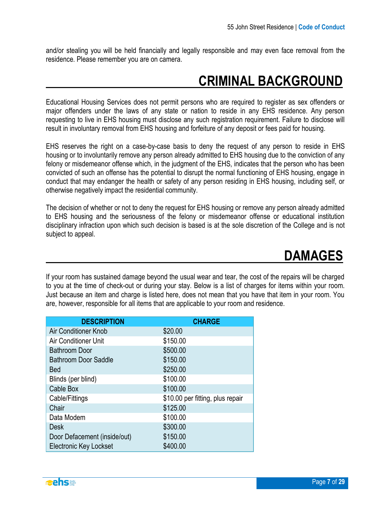and/or stealing you will be held financially and legally responsible and may even face removal from the residence. Please remember you are on camera.

### <span id="page-6-0"></span> **CRIMINAL BACKGROUND**

Educational Housing Services does not permit persons who are required to register as sex offenders or major offenders under the laws of any state or nation to reside in any EHS residence. Any person requesting to live in EHS housing must disclose any such registration requirement. Failure to disclose will result in involuntary removal from EHS housing and forfeiture of any deposit or fees paid for housing.

EHS reserves the right on a case-by-case basis to deny the request of any person to reside in EHS housing or to involuntarily remove any person already admitted to EHS housing due to the conviction of any felony or misdemeanor offense which, in the judgment of the EHS, indicates that the person who has been convicted of such an offense has the potential to disrupt the normal functioning of EHS housing, engage in conduct that may endanger the health or safety of any person residing in EHS housing, including self, or otherwise negatively impact the residential community.

The decision of whether or not to deny the request for EHS housing or remove any person already admitted to EHS housing and the seriousness of the felony or misdemeanor offense or educational institution disciplinary infraction upon which such decision is based is at the sole discretion of the College and is not subject to appeal.

### <span id="page-6-1"></span> **DAMAGES**

If your room has sustained damage beyond the usual wear and tear, the cost of the repairs will be charged to you at the time of check-out or during your stay. Below is a list of charges for items within your room. Just because an item and charge is listed here, does not mean that you have that item in your room. You are, however, responsible for all items that are applicable to your room and residence.

| <b>DESCRIPTION</b>            | <b>CHARGE</b>                    |
|-------------------------------|----------------------------------|
| Air Conditioner Knob          | \$20.00                          |
| Air Conditioner Unit          | \$150.00                         |
| <b>Bathroom Door</b>          | \$500.00                         |
| <b>Bathroom Door Saddle</b>   | \$150.00                         |
| <b>Bed</b>                    | \$250.00                         |
| Blinds (per blind)            | \$100.00                         |
| <b>Cable Box</b>              | \$100.00                         |
| Cable/Fittings                | \$10.00 per fitting, plus repair |
| Chair                         | \$125.00                         |
| Data Modem                    | \$100.00                         |
| <b>Desk</b>                   | \$300.00                         |
| Door Defacement (inside/out)  | \$150.00                         |
| <b>Electronic Key Lockset</b> | \$400.00                         |

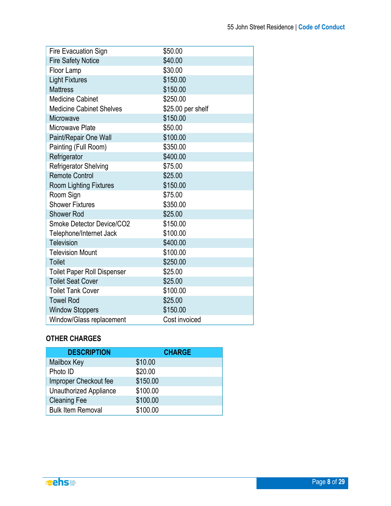| Fire Evacuation Sign               | \$50.00           |
|------------------------------------|-------------------|
| <b>Fire Safety Notice</b>          | \$40.00           |
| Floor Lamp                         | \$30.00           |
| <b>Light Fixtures</b>              | \$150.00          |
| <b>Mattress</b>                    | \$150.00          |
| <b>Medicine Cabinet</b>            | \$250.00          |
| <b>Medicine Cabinet Shelves</b>    | \$25.00 per shelf |
| Microwave                          | \$150.00          |
| Microwave Plate                    | \$50.00           |
| Paint/Repair One Wall              | \$100.00          |
| Painting (Full Room)               | \$350.00          |
| Refrigerator                       | \$400.00          |
| Refrigerator Shelving              | \$75.00           |
| <b>Remote Control</b>              | \$25.00           |
| <b>Room Lighting Fixtures</b>      | \$150.00          |
| Room Sign                          | \$75.00           |
| <b>Shower Fixtures</b>             | \$350.00          |
| <b>Shower Rod</b>                  | \$25.00           |
| Smoke Detector Device/CO2          | \$150.00          |
| Telephone/Internet Jack            | \$100.00          |
| Television                         | \$400.00          |
| <b>Television Mount</b>            | \$100.00          |
| <b>Toilet</b>                      | \$250.00          |
| <b>Toilet Paper Roll Dispenser</b> | \$25.00           |
| <b>Toilet Seat Cover</b>           | \$25.00           |
| <b>Toilet Tank Cover</b>           | \$100.00          |
| <b>Towel Rod</b>                   | \$25.00           |
| <b>Window Stoppers</b>             | \$150.00          |
| Window/Glass replacement           | Cost invoiced     |

#### <span id="page-7-0"></span>**OTHER CHARGES**

| <b>DESCRIPTION</b>       | <b>CHARGE</b> |
|--------------------------|---------------|
| Mailbox Key              | \$10.00       |
| Photo ID                 | \$20.00       |
| Improper Checkout fee    | \$150.00      |
| Unauthorized Appliance   | \$100.00      |
| <b>Cleaning Fee</b>      | \$100.00      |
| <b>Bulk Item Removal</b> | \$100.00      |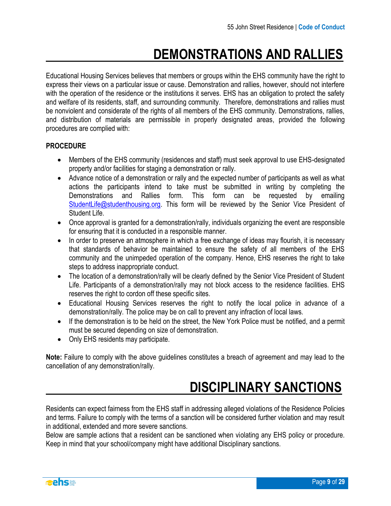### <span id="page-8-0"></span> **DEMONSTRATIONS AND RALLIES**

Educational Housing Services believes that members or groups within the EHS community have the right to express their views on a particular issue or cause. Demonstration and rallies, however, should not interfere with the operation of the residence or the institutions it serves. EHS has an obligation to protect the safety and welfare of its residents, staff, and surrounding community. Therefore, demonstrations and rallies must be nonviolent and considerate of the rights of all members of the EHS community. Demonstrations, rallies, and distribution of materials are permissible in properly designated areas, provided the following procedures are complied with:

#### <span id="page-8-1"></span>**PROCEDURE**

- Members of the EHS community (residences and staff) must seek approval to use EHS-designated property and/or facilities for staging a demonstration or rally.
- Advance notice of a demonstration or rally and the expected number of participants as well as what actions the participants intend to take must be submitted in writing by completing the Demonstrations and Rallies form. This form can be requested by emailing [StudentLife@studenthousing.org.](mailto:StudentLife@studenthousing.org) This form will be reviewed by the Senior Vice President of Student Life.
- Once approval is granted for a demonstration/rally, individuals organizing the event are responsible for ensuring that it is conducted in a responsible manner.
- In order to preserve an atmosphere in which a free exchange of ideas may flourish, it is necessary that standards of behavior be maintained to ensure the safety of all members of the EHS community and the unimpeded operation of the company. Hence, EHS reserves the right to take steps to address inappropriate conduct.
- The location of a demonstration/rally will be clearly defined by the Senior Vice President of Student Life. Participants of a demonstration/rally may not block access to the residence facilities. EHS reserves the right to cordon off these specific sites.
- Educational Housing Services reserves the right to notify the local police in advance of a demonstration/rally. The police may be on call to prevent any infraction of local laws.
- If the demonstration is to be held on the street, the New York Police must be notified, and a permit must be secured depending on size of demonstration.
- Only EHS residents may participate.

<span id="page-8-3"></span>**Note:** Failure to comply with the above guidelines constitutes a breach of agreement and may lead to the cancellation of any demonstration/rally.

### <span id="page-8-2"></span> **DISCIPLINARY SANCTIONS**

Residents can expect fairness from the EHS staff in addressing alleged violations of the Residence Policies and terms. Failure to comply with the terms of a sanction will be considered further violation and may result in additional, extended and more severe sanctions.

Below are sample actions that a resident can be sanctioned when violating any EHS policy or procedure. Keep in mind that your school/company might have additional Disciplinary sanctions.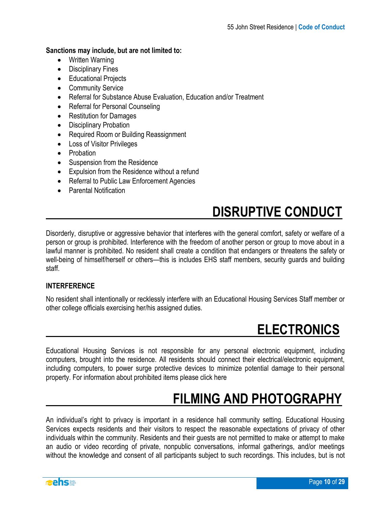#### **Sanctions may include, but are not limited to:**

- Written Warning
- Disciplinary Fines
- Educational Projects
- Community Service
- Referral for Substance Abuse Evaluation, Education and/or Treatment
- Referral for Personal Counseling
- Restitution for Damages
- Disciplinary Probation
- Required Room or Building Reassignment
- Loss of Visitor Privileges
- Probation
- Suspension from the Residence
- Expulsion from the Residence without a refund
- Referral to Public Law Enforcement Agencies
- Parental Notification

### <span id="page-9-0"></span> **DISRUPTIVE CONDUCT**

Disorderly, disruptive or aggressive behavior that interferes with the general comfort, safety or welfare of a person or group is prohibited. Interference with the freedom of another person or group to move about in a lawful manner is prohibited. No resident shall create a condition that endangers or threatens the safety or well-being of himself/herself or others—this is includes EHS staff members, security guards and building staff.

#### <span id="page-9-1"></span>**INTERFERENCE**

No resident shall intentionally or recklessly interfere with an Educational Housing Services Staff member or other college officials exercising her/his assigned duties.

### <span id="page-9-2"></span> **ELECTRONICS**

Educational Housing Services is not responsible for any personal electronic equipment, including computers, brought into the residence. All residents should connect their electrical/electronic equipment, including computers, to power surge protective devices to minimize potential damage to their personal property. For information about prohibited items please click here

### <span id="page-9-3"></span> **FILMING AND PHOTOGRAPHY**

An individual's right to privacy is important in a residence hall community setting. Educational Housing Services expects residents and their visitors to respect the reasonable expectations of privacy of other individuals within the community. Residents and their guests are not permitted to make or attempt to make an audio or video recording of private, nonpublic conversations, informal gatherings, and/or meetings without the knowledge and consent of all participants subject to such recordings. This includes, but is not

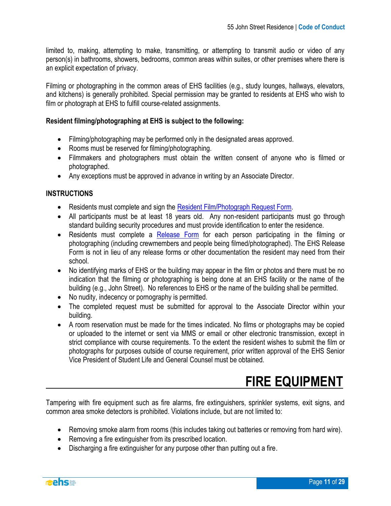limited to, making, attempting to make, transmitting, or attempting to transmit audio or video of any person(s) in bathrooms, showers, bedrooms, common areas within suites, or other premises where there is an explicit expectation of privacy.

Filming or photographing in the common areas of EHS facilities (e.g., study lounges, hallways, elevators, and kitchens) is generally prohibited. Special permission may be granted to residents at EHS who wish to film or photograph at EHS to fulfill course-related assignments.

#### **Resident filming/photographing at EHS is subject to the following:**

- Filming/photographing may be performed only in the designated areas approved.
- Rooms must be reserved for filming/photographing.
- Filmmakers and photographers must obtain the written consent of anyone who is filmed or photographed.
- Any exceptions must be approved in advance in writing by an Associate Director.

#### <span id="page-10-0"></span>**INSTRUCTIONS**

- Residents must complete and sign the [Resident Film/Photograph Request Form.](https://assets.ctfassets.net/vne2flhojsyj/7cev8JkwdHMOIghtsBzMWR/e81b2cc1f0b91d1f13985d41f737a116/Filming_Request_Form.pdf)
- All participants must be at least 18 years old. Any non-resident participants must go through standard building security procedures and must provide identification to enter the residence.
- Residents must complete a [Release Form](https://assets.ctfassets.net/vne2flhojsyj/7cev8JkwdHMOIghtsBzMWR/e81b2cc1f0b91d1f13985d41f737a116/Filming_Request_Form.pdf) for each person participating in the filming or photographing (including crewmembers and people being filmed/photographed). The EHS Release Form is not in lieu of any release forms or other documentation the resident may need from their school.
- No identifying marks of EHS or the building may appear in the film or photos and there must be no indication that the filming or photographing is being done at an EHS facility or the name of the building (e.g., John Street). No references to EHS or the name of the building shall be permitted.
- No nudity, indecency or pornography is permitted.
- The completed request must be submitted for approval to the Associate Director within your building.
- A room reservation must be made for the times indicated. No films or photographs may be copied or uploaded to the internet or sent via MMS or email or other electronic transmission, except in strict compliance with course requirements. To the extent the resident wishes to submit the film or photographs for purposes outside of course requirement, prior written approval of the EHS Senior Vice President of Student Life and General Counsel must be obtained.

### <span id="page-10-1"></span> **FIRE EQUIPMENT**

Tampering with fire equipment such as fire alarms, fire extinguishers, sprinkler systems, exit signs, and common area smoke detectors is prohibited. Violations include, but are not limited to:

- Removing smoke alarm from rooms (this includes taking out batteries or removing from hard wire).
- Removing a fire extinguisher from its prescribed location.
- Discharging a fire extinguisher for any purpose other than putting out a fire.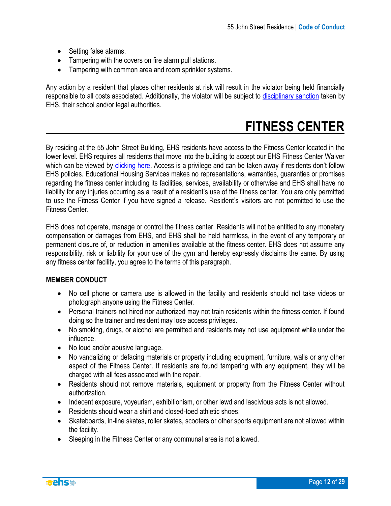- Setting false alarms.
- Tampering with the covers on fire alarm pull stations.
- Tampering with common area and room sprinkler systems.

Any action by a resident that places other residents at risk will result in the violator being held financially responsible to all costs associated. Additionally, the violator will be subject to [disciplinary sanction](#page-8-3) taken by EHS, their school and/or legal authorities.

### <span id="page-11-0"></span> **FITNESS CENTER**

By residing at the 55 John Street Building, EHS residents have access to the Fitness Center located in the lower level. EHS requires all residents that move into the building to accept our EHS Fitness Center Waiver which can be viewed by [clicking here](https://assets.ctfassets.net/vne2flhojsyj/2pBYlisN3QGuK7DiSdeJZE/53790d13d08e288a48e79a9f071a4436/55_John_Street_Fitness_Center_Waiver.pdf). Access is a privilege and can be taken away if residents don't follow EHS policies. Educational Housing Services makes no representations, warranties, guaranties or promises regarding the fitness center including its facilities, services, availability or otherwise and EHS shall have no liability for any injuries occurring as a result of a resident's use of the fitness center. You are only permitted to use the Fitness Center if you have signed a release. Resident's visitors are not permitted to use the Fitness Center.

EHS does not operate, manage or control the fitness center. Residents will not be entitled to any monetary compensation or damages from EHS, and EHS shall be held harmless, in the event of any temporary or permanent closure of, or reduction in amenities available at the fitness center. EHS does not assume any responsibility, risk or liability for your use of the gym and hereby expressly disclaims the same. By using any fitness center facility, you agree to the terms of this paragraph.

#### <span id="page-11-1"></span>**MEMBER CONDUCT**

- No cell phone or camera use is allowed in the facility and residents should not take videos or photograph anyone using the Fitness Center.
- Personal trainers not hired nor authorized may not train residents within the fitness center. If found doing so the trainer and resident may lose access privileges.
- No smoking, drugs, or alcohol are permitted and residents may not use equipment while under the influence.
- No loud and/or abusive language.
- No vandalizing or defacing materials or property including equipment, furniture, walls or any other aspect of the Fitness Center. If residents are found tampering with any equipment, they will be charged with all fees associated with the repair.
- Residents should not remove materials, equipment or property from the Fitness Center without authorization.
- Indecent exposure, voyeurism, exhibitionism, or other lewd and lascivious acts is not allowed.
- Residents should wear a shirt and closed-toed athletic shoes.
- Skateboards, in-line skates, roller skates, scooters or other sports equipment are not allowed within the facility.
- Sleeping in the Fitness Center or any communal area is not allowed.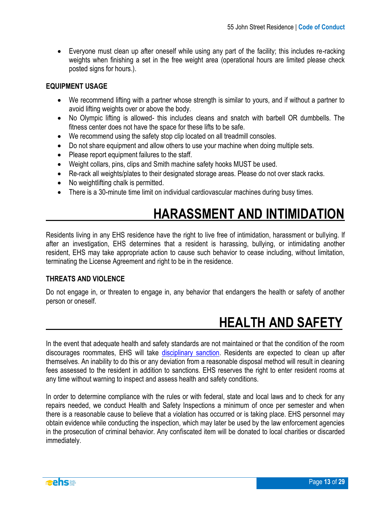• Everyone must clean up after oneself while using any part of the facility; this includes re-racking weights when finishing a set in the free weight area (operational hours are limited please check posted signs for hours.).

#### <span id="page-12-0"></span>**EQUIPMENT USAGE**

- We recommend lifting with a partner whose strength is similar to yours, and if without a partner to avoid lifting weights over or above the body.
- No Olympic lifting is allowed- this includes cleans and snatch with barbell OR dumbbells. The fitness center does not have the space for these lifts to be safe.
- We recommend using the safety stop clip located on all treadmill consoles.
- Do not share equipment and allow others to use your machine when doing multiple sets.
- Please report equipment failures to the staff.
- Weight collars, pins, clips and Smith machine safety hooks MUST be used.
- Re-rack all weights/plates to their designated storage areas. Please do not over stack racks.
- No weightlifting chalk is permitted.
- There is a 30-minute time limit on individual cardiovascular machines during busy times.

### <span id="page-12-1"></span> **HARASSMENT AND INTIMIDATION**

Residents living in any EHS residence have the right to live free of intimidation, harassment or bullying. If after an investigation, EHS determines that a resident is harassing, bullying, or intimidating another resident, EHS may take appropriate action to cause such behavior to cease including, without limitation, terminating the License Agreement and right to be in the residence.

#### <span id="page-12-2"></span>**THREATS AND VIOLENCE**

Do not engage in, or threaten to engage in, any behavior that endangers the health or safety of another person or oneself.

### <span id="page-12-3"></span> **HEALTH AND SAFETY**

In the event that adequate health and safety standards are not maintained or that the condition of the room discourages roommates, EHS will take [disciplinary sanction.](#page-8-3) Residents are expected to clean up after themselves. An inability to do this or any deviation from a reasonable disposal method will result in cleaning fees assessed to the resident in addition to sanctions. EHS reserves the right to enter resident rooms at any time without warning to inspect and assess health and safety conditions.

In order to determine compliance with the rules or with federal, state and local laws and to check for any repairs needed, we conduct Health and Safety Inspections a minimum of once per semester and when there is a reasonable cause to believe that a violation has occurred or is taking place. EHS personnel may obtain evidence while conducting the inspection, which may later be used by the law enforcement agencies in the prosecution of criminal behavior. Any confiscated item will be donated to local charities or discarded immediately.

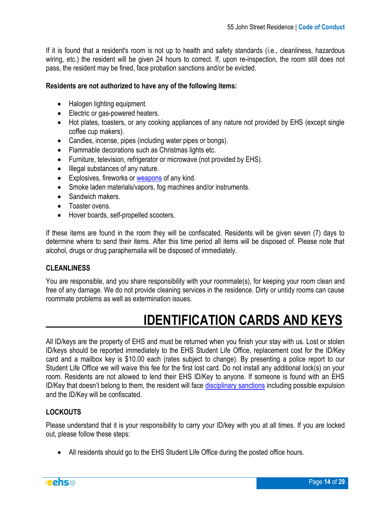If it is found that a resident's room is not up to health and safety standards (i.e., cleanliness, hazardous wiring, etc.) the resident will be given 24 hours to correct. If, upon re-inspection, the room still does not pass, the resident may be fined, face probation sanctions and/or be evicted.

#### **Residents are not authorized to have any of the following items:**

- Halogen lighting equipment.
- Electric or gas-powered heaters.
- Hot plates, toasters, or any cooking appliances of any nature not provided by EHS (except single coffee cup makers).
- Candles, incense, pipes (including water pipes or bongs).
- Flammable decorations such as Christmas lights etc.
- Furniture, television, refrigerator or microwave (not provided by EHS).
- Illegal substances of any nature.
- Explosives, fireworks or [weapons](#page-19-5) of any kind.
- Smoke laden materials/vapors, fog machines and/or instruments.
- Sandwich makers.
- Toaster ovens.
- Hover boards, self-propelled scooters.

If these items are found in the room they will be confiscated. Residents will be given seven (7) days to determine where to send their items. After this time period all items will be disposed of. Please note that alcohol, drugs or drug paraphernalia will be disposed of immediately.

#### <span id="page-13-0"></span>**CLEANLINESS**

You are responsible, and you share responsibility with your roommate(s), for keeping your room clean and free of any damage. We do not provide cleaning services in the residence. Dirty or untidy rooms can cause roommate problems as well as extermination issues.

### <span id="page-13-1"></span> **IDENTIFICATION CARDS AND KEYS**

All ID/keys are the property of EHS and must be returned when you finish your stay with us. Lost or stolen ID/keys should be reported immediately to the EHS Student Life Office, replacement cost for the ID/Key card and a mailbox key is \$10.00 each (rates subject to change). By presenting a police report to our Student Life Office we will waive this fee for the first lost card. Do not install any additional lock(s) on your room. Residents are not allowed to lend their EHS ID/Key to anyone. If someone is found with an EHS ID/Key that doesn't belong to them, the resident will face [disciplinary sanctions](#page-8-3) including possible expulsion and the ID/Key will be confiscated.

#### <span id="page-13-2"></span>**LOCKOUTS**

Please understand that it is your responsibility to carry your ID/key with you at all times. If you are locked out, please follow these steps:

• All residents should go to the EHS Student Life Office during the posted office hours.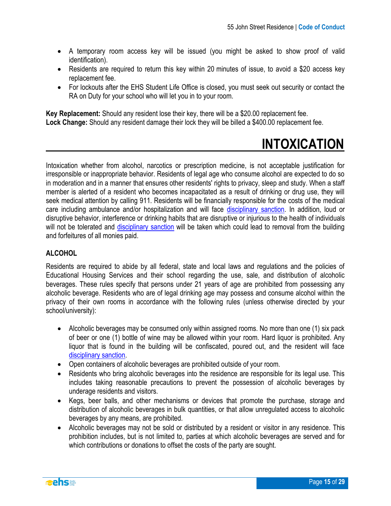- A temporary room access key will be issued (you might be asked to show proof of valid identification).
- Residents are required to return this key within 20 minutes of issue, to avoid a \$20 access key replacement fee.
- For lockouts after the EHS Student Life Office is closed, you must seek out security or contact the RA on Duty for your school who will let you in to your room.

**Key Replacement:** Should any resident lose their key, there will be a \$20.00 replacement fee. **Lock Change:** Should any resident damage their lock they will be billed a \$400.00 replacement fee.

### <span id="page-14-0"></span> **INTOXICATION**

Intoxication whether from alcohol, narcotics or prescription medicine, is not acceptable justification for irresponsible or inappropriate behavior. Residents of legal age who consume alcohol are expected to do so in moderation and in a manner that ensures other residents' rights to privacy, sleep and study. When a staff member is alerted of a resident who becomes incapacitated as a result of drinking or drug use, they will seek medical attention by calling 911. Residents will be financially responsible for the costs of the medical care including ambulance and/or hospitalization and will face [disciplinary](#page-8-3) sanction. In addition, loud or disruptive behavior, interference or drinking habits that are disruptive or injurious to the health of individuals will not be tolerated and [disciplinary sanction](#page-8-3) will be taken which could lead to removal from the building and forfeitures of all monies paid.

#### <span id="page-14-1"></span>**ALCOHOL**

Residents are required to abide by all federal, state and local laws and regulations and the policies of Educational Housing Services and their school regarding the use, sale, and distribution of alcoholic beverages. These rules specify that persons under 21 years of age are prohibited from possessing any alcoholic beverage. Residents who are of legal drinking age may possess and consume alcohol within the privacy of their own rooms in accordance with the following rules (unless otherwise directed by your school/university):

- Alcoholic beverages may be consumed only within assigned rooms. No more than one (1) six pack of beer or one (1) bottle of wine may be allowed within your room. Hard liquor is prohibited. Any liquor that is found in the building will be confiscated, poured out, and the resident will face [disciplinary sanction.](#page-8-3)
- Open containers of alcoholic beverages are prohibited outside of your room.
- Residents who bring alcoholic beverages into the residence are responsible for its legal use. This includes taking reasonable precautions to prevent the possession of alcoholic beverages by underage residents and visitors.
- Kegs, beer balls, and other mechanisms or devices that promote the purchase, storage and distribution of alcoholic beverages in bulk quantities, or that allow unregulated access to alcoholic beverages by any means, are prohibited.
- Alcoholic beverages may not be sold or distributed by a resident or visitor in any residence. This prohibition includes, but is not limited to, parties at which alcoholic beverages are served and for which contributions or donations to offset the costs of the party are sought.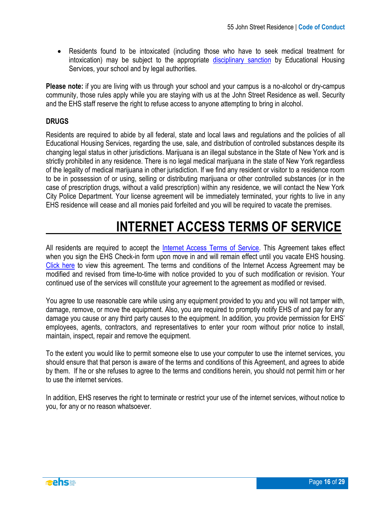• Residents found to be intoxicated (including those who have to seek medical treatment for intoxication) may be subject to the appropriate [disciplinary sanction](#page-8-3) by Educational Housing Services, your school and by legal authorities.

**Please note:** if you are living with us through your school and your campus is a no-alcohol or dry-campus community, those rules apply while you are staying with us at the John Street Residence as well. Security and the EHS staff reserve the right to refuse access to anyone attempting to bring in alcohol.

#### <span id="page-15-0"></span>**DRUGS**

Residents are required to abide by all federal, state and local laws and regulations and the policies of all Educational Housing Services, regarding the use, sale, and distribution of controlled substances despite its changing legal status in other jurisdictions. Marijuana is an illegal substance in the State of New York and is strictly prohibited in any residence. There is no legal medical marijuana in the state of New York regardless of the legality of medical marijuana in other jurisdiction. If we find any resident or visitor to a residence room to be in possession of or using, selling or distributing marijuana or other controlled substances (or in the case of prescription drugs, without a valid prescription) within any residence, we will contact the New York City Police Department. Your license agreement will be immediately terminated, your rights to live in any EHS residence will cease and all monies paid forfeited and you will be required to vacate the premises.

### <span id="page-15-1"></span> **INTERNET ACCESS TERMS OF SERVICE**

All residents are required to accept the [Internet Access Terms of Service.](https://assets.ctfassets.net/vne2flhojsyj/30iiZ2mlsi2AkICO6ni9hC/604ca1e21fd3a1c8e65870c26f8172c6/INTERNET_ACCESS_TERMS_OF_SERVICE.pdf) This Agreement takes effect when you sign the EHS Check-in form upon move in and will remain effect until you vacate EHS housing. [Click here](https://assets.ctfassets.net/vne2flhojsyj/30iiZ2mlsi2AkICO6ni9hC/604ca1e21fd3a1c8e65870c26f8172c6/INTERNET_ACCESS_TERMS_OF_SERVICE.pdf) to view this agreement. The terms and conditions of the Internet Access Agreement may be modified and revised from time-to-time with notice provided to you of such modification or revision. Your continued use of the services will constitute your agreement to the agreement as modified or revised.

You agree to use reasonable care while using any equipment provided to you and you will not tamper with, damage, remove, or move the equipment. Also, you are required to promptly notify EHS of and pay for any damage you cause or any third party causes to the equipment. In addition, you provide permission for EHS' employees, agents, contractors, and representatives to enter your room without prior notice to install, maintain, inspect, repair and remove the equipment.

To the extent you would like to permit someone else to use your computer to use the internet services, you should ensure that that person is aware of the terms and conditions of this Agreement, and agrees to abide by them. If he or she refuses to agree to the terms and conditions herein, you should not permit him or her to use the internet services.

In addition, EHS reserves the right to terminate or restrict your use of the internet services, without notice to you, for any or no reason whatsoever.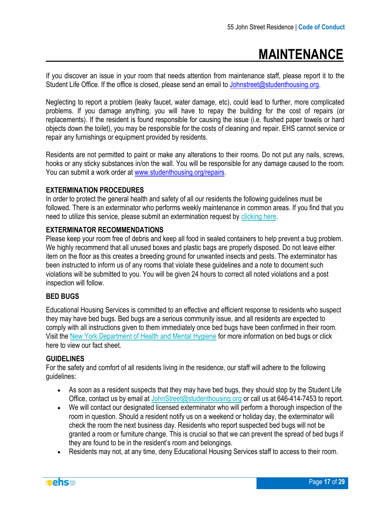### <span id="page-16-0"></span> **MAINTENANCE**

If you discover an issue in your room that needs attention from maintenance staff, please report it to the Student Life Office. If the office is closed, please send an email to [Johnstreet@studenthousing.org.](mailto:Johnstreet@studenthousing.org)

Neglecting to report a problem (leaky faucet, water damage, etc), could lead to further, more complicated problems. If you damage anything, you will have to repay the building for the cost of repairs (or replacements). If the resident is found responsible for causing the issue (i.e. flushed paper towels or hard objects down the toilet), you may be responsible for the costs of cleaning and repair. EHS cannot service or repair any furnishings or equipment provided by residents.

Residents are not permitted to paint or make any alterations to their rooms. Do not put any nails, screws, hooks or any sticky substances in/on the wall. You will be responsible for any damage caused to the room. You can submit a work order at [www.studenthousing.org/repairs.](http://www.studenthousing.org/repairs)

#### **EXTERMINATION PROCEDURES**

In order to protect the general health and safety of all our residents the following guidelines must be followed. There is an exterminator who performs weekly maintenance in common areas. If you find that you need to utilize this service, please submit an extermination request by [clicking here.](http://www.studenthousing.org/repairs)

#### **EXTERMINATOR RECOMMENDATIONS**

Please keep your room free of debris and keep all food in sealed containers to help prevent a bug problem. We highly recommend that all unused boxes and plastic bags are properly disposed. Do not leave either item on the floor as this creates a breeding ground for unwanted insects and pests. The exterminator has been instructed to inform us of any rooms that violate these guidelines and a note to document such violations will be submitted to you. You will be given 24 hours to correct all noted violations and a post inspection will follow.

#### **BED BUGS**

Educational Housing Services is committed to an effective and efficient response to residents who suspect they may have bed bugs. Bed bugs are a serious community issue, and all residents are expected to comply with all instructions given to them immediately once bed bugs have been confirmed in their room. Visit the [New York Department of Health and Mental Hygiene](https://www1.nyc.gov/site/doh/health/health-topics/bedbugs.page) for more information on bed bugs or click here to view our fact sheet.

#### **GUIDELINES**

For the safety and comfort of all residents living in the residence, our staff will adhere to the following guidelines:

- As soon as a resident suspects that they may have bed bugs, they should stop by the Student Life Office, contact us by email at [JohnStreet@studenthousing.org](mailto:JohnStreet@studenthousing.org) or call us at 646-414-7453 to report.
- We will contact our designated licensed exterminator who will perform a thorough inspection of the room in question. Should a resident notify us on a weekend or holiday day, the exterminator will check the room the next business day. Residents who report suspected bed bugs will not be granted a room or furniture change. This is crucial so that we can prevent the spread of bed bugs if they are found to be in the resident's room and belongings.
- Residents may not, at any time, deny Educational Housing Services staff to access to their room.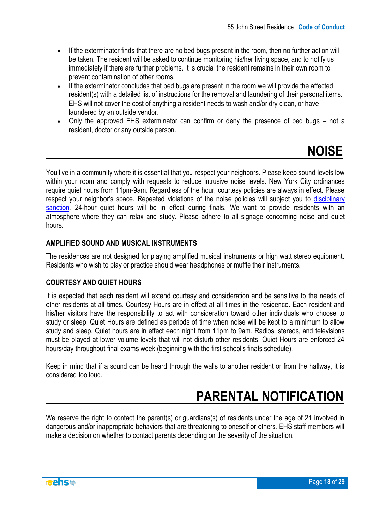- If the exterminator finds that there are no bed bugs present in the room, then no further action will be taken. The resident will be asked to continue monitoring his/her living space, and to notify us immediately if there are further problems. It is crucial the resident remains in their own room to prevent contamination of other rooms.
- If the exterminator concludes that bed bugs are present in the room we will provide the affected resident(s) with a detailed list of instructions for the removal and laundering of their personal items. EHS will not cover the cost of anything a resident needs to wash and/or dry clean, or have laundered by an outside vendor.
- Only the approved EHS exterminator can confirm or deny the presence of bed bugs not a resident, doctor or any outside person.

### <span id="page-17-0"></span> **NOISE**

You live in a community where it is essential that you respect your neighbors. Please keep sound levels low within your room and comply with requests to reduce intrusive noise levels. New York City ordinances require quiet hours from 11pm-9am. Regardless of the hour, courtesy policies are always in effect. Please respect your neighbor's space. Repeated violations of the noise policies will subject you to [disciplinary](#page-8-3)  [sanction.](#page-8-3) 24-hour quiet hours will be in effect during finals. We want to provide residents with an atmosphere where they can relax and study. Please adhere to all signage concerning noise and quiet hours.

#### <span id="page-17-1"></span>**AMPLIFIED SOUND AND MUSICAL INSTRUMENTS**

The residences are not designed for playing amplified musical instruments or high watt stereo equipment. Residents who wish to play or practice should wear headphones or muffle their instruments.

#### <span id="page-17-2"></span>**COURTESY AND QUIET HOURS**

It is expected that each resident will extend courtesy and consideration and be sensitive to the needs of other residents at all times. Courtesy Hours are in effect at all times in the residence. Each resident and his/her visitors have the responsibility to act with consideration toward other individuals who choose to study or sleep. Quiet Hours are defined as periods of time when noise will be kept to a minimum to allow study and sleep. Quiet hours are in effect each night from 11pm to 9am. Radios, stereos, and televisions must be played at lower volume levels that will not disturb other residents. Quiet Hours are enforced 24 hours/day throughout final exams week (beginning with the first school's finals schedule).

Keep in mind that if a sound can be heard through the walls to another resident or from the hallway, it is considered too loud.

### <span id="page-17-3"></span> **PARENTAL NOTIFICATION**

We reserve the right to contact the parent(s) or guardians(s) of residents under the age of 21 involved in dangerous and/or inappropriate behaviors that are threatening to oneself or others. EHS staff members will make a decision on whether to contact parents depending on the severity of the situation.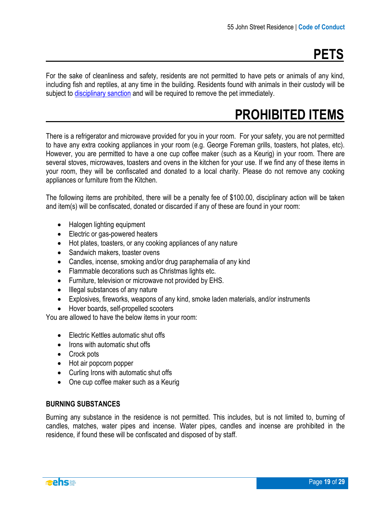### <span id="page-18-0"></span> **PETS**

For the sake of cleanliness and safety, residents are not permitted to have pets or animals of any kind, including fish and reptiles, at any time in the building. Residents found with animals in their custody will be subject to [disciplinary sanction](#page-8-3) and will be required to remove the pet immediately.

### <span id="page-18-1"></span> **PROHIBITED ITEMS**

There is a refrigerator and microwave provided for you in your room. For your safety, you are not permitted to have any extra cooking appliances in your room (e.g. George Foreman grills, toasters, hot plates, etc). However, you are permitted to have a one cup coffee maker (such as a Keurig) in your room. There are several stoves, microwaves, toasters and ovens in the kitchen for your use. If we find any of these items in your room, they will be confiscated and donated to a local charity. Please do not remove any cooking appliances or furniture from the Kitchen.

The following items are prohibited, there will be a penalty fee of \$100.00, disciplinary action will be taken and item(s) will be confiscated, donated or discarded if any of these are found in your room:

- Halogen lighting equipment
- Electric or gas-powered heaters
- Hot plates, toasters, or any cooking appliances of any nature
- Sandwich makers, toaster ovens
- Candles, incense, smoking and/or drug paraphernalia of any kind
- Flammable decorations such as Christmas lights etc.
- Furniture, television or microwave not provided by EHS.
- Illegal substances of any nature
- Explosives, fireworks, weapons of any kind, smoke laden materials, and/or instruments
- Hover boards, self-propelled scooters

You are allowed to have the below items in your room:

- Electric Kettles automatic shut offs
- Irons with automatic shut offs
- Crock pots
- Hot air popcorn popper
- Curling Irons with automatic shut offs
- One cup coffee maker such as a Keurig

#### <span id="page-18-2"></span>**BURNING SUBSTANCES**

Burning any substance in the residence is not permitted. This includes, but is not limited to, burning of candles, matches, water pipes and incense. Water pipes, candles and incense are prohibited in the residence, if found these will be confiscated and disposed of by staff.

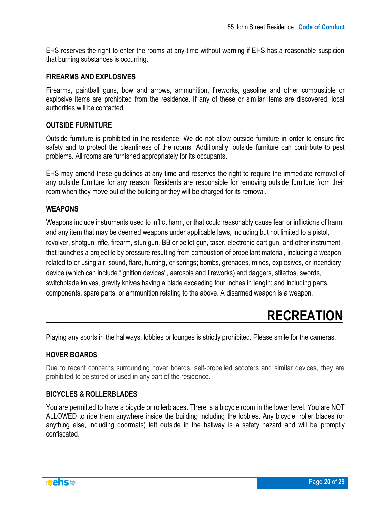EHS reserves the right to enter the rooms at any time without warning if EHS has a reasonable suspicion that burning substances is occurring.

#### <span id="page-19-0"></span>**FIREARMS AND EXPLOSIVES**

Firearms, paintball guns, bow and arrows, ammunition, fireworks, gasoline and other combustible or explosive items are prohibited from the residence. If any of these or similar items are discovered, local authorities will be contacted.

#### <span id="page-19-1"></span>**OUTSIDE FURNITURE**

Outside furniture is prohibited in the residence. We do not allow outside furniture in order to ensure fire safety and to protect the cleanliness of the rooms. Additionally, outside furniture can contribute to pest problems. All rooms are furnished appropriately for its occupants.

EHS may amend these guidelines at any time and reserves the right to require the immediate removal of any outside furniture for any reason. Residents are responsible for removing outside furniture from their room when they move out of the building or they will be charged for its removal.

#### <span id="page-19-5"></span>**WEAPONS**

Weapons include instruments used to inflict harm, or that could reasonably cause fear or inflictions of harm, and any item that may be deemed weapons under applicable laws, including but not limited to a pistol, revolver, shotgun, rifle, firearm, stun gun, BB or pellet gun, taser, electronic dart gun, and other instrument that launches a projectile by pressure resulting from combustion of propellant material, including a weapon related to or using air, sound, flare, hunting, or springs; bombs, grenades, mines, explosives, or incendiary device (which can include "ignition devices", aerosols and fireworks) and daggers, stilettos, swords, switchblade knives, gravity knives having a blade exceeding four inches in length; and including parts, components, spare parts, or ammunition relating to the above. A disarmed weapon is a weapon.

### <span id="page-19-2"></span> **RECREATION**

Playing any sports in the hallways, lobbies or lounges is strictly prohibited. Please smile for the cameras.

#### <span id="page-19-3"></span>**HOVER BOARDS**

Due to recent concerns surrounding hover boards, self-propelled scooters and similar devices, they are prohibited to be stored or used in any part of the residence.

#### <span id="page-19-4"></span>**BICYCLES & ROLLERBLADES**

You are permitted to have a bicycle or rollerblades. There is a bicycle room in the lower level. You are NOT ALLOWED to ride them anywhere inside the building including the lobbies. Any bicycle, roller blades (or anything else, including doormats) left outside in the hallway is a safety hazard and will be promptly confiscated.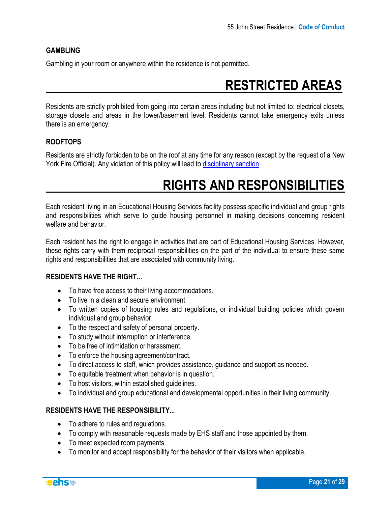#### <span id="page-20-0"></span>**GAMBLING**

Gambling in your room or anywhere within the residence is not permitted.

### <span id="page-20-1"></span> **RESTRICTED AREAS**

Residents are strictly prohibited from going into certain areas including but not limited to: electrical closets, storage closets and areas in the lower/basement level. Residents cannot take emergency exits unless there is an emergency.

#### <span id="page-20-2"></span>**ROOFTOPS**

Residents are strictly forbidden to be on the roof at any time for any reason (except by the request of a New York Fire Official). Any violation of this policy will lead to [disciplinary sanction.](#page-8-3)

### <span id="page-20-3"></span> **RIGHTS AND RESPONSIBILITIES**

Each resident living in an Educational Housing Services facility possess specific individual and group rights and responsibilities which serve to guide housing personnel in making decisions concerning resident welfare and behavior

Each resident has the right to engage in activities that are part of Educational Housing Services. However, these rights carry with them reciprocal responsibilities on the part of the individual to ensure these same rights and responsibilities that are associated with community living.

#### <span id="page-20-4"></span>**RESIDENTS HAVE THE RIGHT…**

- To have free access to their living accommodations.
- To live in a clean and secure environment.
- To written copies of housing rules and regulations, or individual building policies which govern individual and group behavior.
- To the respect and safety of personal property.
- To study without interruption or interference.
- To be free of intimidation or harassment.
- To enforce the housing agreement/contract.
- To direct access to staff, which provides assistance, guidance and support as needed.
- To equitable treatment when behavior is in question.
- To host visitors, within established guidelines.
- To individual and group educational and developmental opportunities in their living community.

#### <span id="page-20-5"></span>**RESIDENTS HAVE THE RESPONSIBILITY...**

- To adhere to rules and regulations.
- To comply with reasonable requests made by EHS staff and those appointed by them.
- To meet expected room payments.
- To monitor and accept responsibility for the behavior of their visitors when applicable.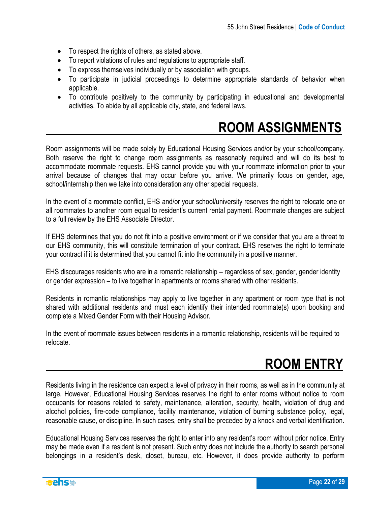- To respect the rights of others, as stated above.
- To report violations of rules and regulations to appropriate staff.
- To express themselves individually or by association with groups.
- To participate in judicial proceedings to determine appropriate standards of behavior when applicable.
- To contribute positively to the community by participating in educational and developmental activities. To abide by all applicable city, state, and federal laws.

### <span id="page-21-0"></span> **ROOM ASSIGNMENTS**

Room assignments will be made solely by Educational Housing Services and/or by your school/company. Both reserve the right to change room assignments as reasonably required and will do its best to accommodate roommate requests. EHS cannot provide you with your roommate information prior to your arrival because of changes that may occur before you arrive. We primarily focus on gender, age, school/internship then we take into consideration any other special requests.

In the event of a roommate conflict, EHS and/or your school/university reserves the right to relocate one or all roommates to another room equal to resident's current rental payment. Roommate changes are subject to a full review by the EHS Associate Director.

If EHS determines that you do not fit into a positive environment or if we consider that you are a threat to our EHS community, this will constitute termination of your contract. EHS reserves the right to terminate your contract if it is determined that you cannot fit into the community in a positive manner.

EHS discourages residents who are in a romantic relationship – regardless of sex, gender, gender identity or gender expression – to live together in apartments or rooms shared with other residents.

Residents in romantic relationships may apply to live together in any apartment or room type that is not shared with additional residents and must each identify their intended roommate(s) upon booking and complete a Mixed Gender Form with their Housing Advisor.

In the event of roommate issues between residents in a romantic relationship, residents will be required to relocate.

### <span id="page-21-1"></span> **ROOM ENTRY**

Residents living in the residence can expect a level of privacy in their rooms, as well as in the community at large. However, Educational Housing Services reserves the right to enter rooms without notice to room occupants for reasons related to safety, maintenance, alteration, security, health, violation of drug and alcohol policies, fire-code compliance, facility maintenance, violation of burning substance policy, legal, reasonable cause, or discipline. In such cases, entry shall be preceded by a knock and verbal identification.

Educational Housing Services reserves the right to enter into any resident's room without prior notice. Entry may be made even if a resident is not present. Such entry does not include the authority to search personal belongings in a resident's desk, closet, bureau, etc. However, it does provide authority to perform

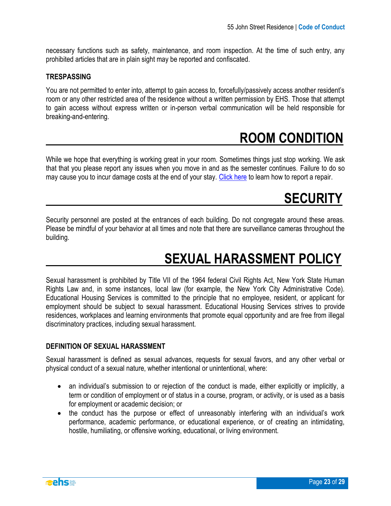necessary functions such as safety, maintenance, and room inspection. At the time of such entry, any prohibited articles that are in plain sight may be reported and confiscated.

#### <span id="page-22-0"></span>**TRESPASSING**

You are not permitted to enter into, attempt to gain access to, forcefully/passively access another resident's room or any other restricted area of the residence without a written permission by EHS. Those that attempt to gain access without express written or in-person verbal communication will be held responsible for breaking-and-entering.

### <span id="page-22-1"></span> **ROOM CONDITION**

While we hope that everything is working great in your room. Sometimes things just stop working. We ask that that you please report any issues when you move in and as the semester continues. Failure to do so may cause you to incur damage costs at the end of your stay. [Click here](https://www.studenthousing.org/student-life/new-yorker/maintenance-and-repairs) to learn how to report a repair.

### <span id="page-22-2"></span> **SECURITY**

Security personnel are posted at the entrances of each building. Do not congregate around these areas. Please be mindful of your behavior at all times and note that there are surveillance cameras throughout the building.

### <span id="page-22-3"></span> **SEXUAL HARASSMENT POLICY**

Sexual harassment is prohibited by Title VII of the 1964 federal Civil Rights Act, New York State Human Rights Law and, in some instances, local law (for example, the New York City Administrative Code). Educational Housing Services is committed to the principle that no employee, resident, or applicant for employment should be subject to sexual harassment. Educational Housing Services strives to provide residences, workplaces and learning environments that promote equal opportunity and are free from illegal discriminatory practices, including sexual harassment.

#### <span id="page-22-4"></span>**DEFINITION OF SEXUAL HARASSMENT**

Sexual harassment is defined as sexual advances, requests for sexual favors, and any other verbal or physical conduct of a sexual nature, whether intentional or unintentional, where:

- an individual's submission to or rejection of the conduct is made, either explicitly or implicitly, a term or condition of employment or of status in a course, program, or activity, or is used as a basis for employment or academic decision; or
- the conduct has the purpose or effect of unreasonably interfering with an individual's work performance, academic performance, or educational experience, or of creating an intimidating, hostile, humiliating, or offensive working, educational, or living environment.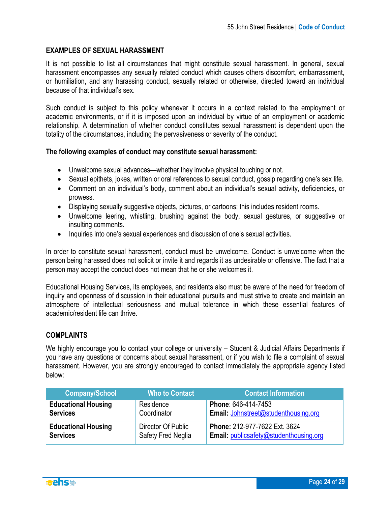#### <span id="page-23-0"></span>**EXAMPLES OF SEXUAL HARASSMENT**

It is not possible to list all circumstances that might constitute sexual harassment. In general, sexual harassment encompasses any sexually related conduct which causes others discomfort, embarrassment, or humiliation, and any harassing conduct, sexually related or otherwise, directed toward an individual because of that individual's sex.

Such conduct is subject to this policy whenever it occurs in a context related to the employment or academic environments, or if it is imposed upon an individual by virtue of an employment or academic relationship. A determination of whether conduct constitutes sexual harassment is dependent upon the totality of the circumstances, including the pervasiveness or severity of the conduct.

#### **The following examples of conduct may constitute sexual harassment:**

- Unwelcome sexual advances—whether they involve physical touching or not.
- Sexual epithets, jokes, written or oral references to sexual conduct, gossip regarding one's sex life.
- Comment on an individual's body, comment about an individual's sexual activity, deficiencies, or prowess.
- Displaying sexually suggestive objects, pictures, or cartoons; this includes resident rooms.
- Unwelcome leering, whistling, brushing against the body, sexual gestures, or suggestive or insulting comments.
- Inquiries into one's sexual experiences and discussion of one's sexual activities.

In order to constitute sexual harassment, conduct must be unwelcome. Conduct is unwelcome when the person being harassed does not solicit or invite it and regards it as undesirable or offensive. The fact that a person may accept the conduct does not mean that he or she welcomes it.

Educational Housing Services, its employees, and residents also must be aware of the need for freedom of inquiry and openness of discussion in their educational pursuits and must strive to create and maintain an atmosphere of intellectual seriousness and mutual tolerance in which these essential features of academic/resident life can thrive.

#### <span id="page-23-1"></span>**COMPLAINTS**

We highly encourage you to contact your college or university – Student & Judicial Affairs Departments if you have any questions or concerns about sexual harassment, or if you wish to file a complaint of sexual harassment. However, you are strongly encouraged to contact immediately the appropriate agency listed below:

| <b>Company/School</b>      | <b>Who to Contact</b> | <b>Contact Information</b>             |
|----------------------------|-----------------------|----------------------------------------|
| <b>Educational Housing</b> | Residence             | Phone: 646-414-7453                    |
| <b>Services</b>            | Coordinator           | Email: Johnstreet@studenthousing.org   |
| <b>Educational Housing</b> | Director Of Public    | Phone: 212-977-7622 Ext. 3624          |
| <b>Services</b>            | Safety Fred Neglia    | Email: publicsafety@studenthousing.org |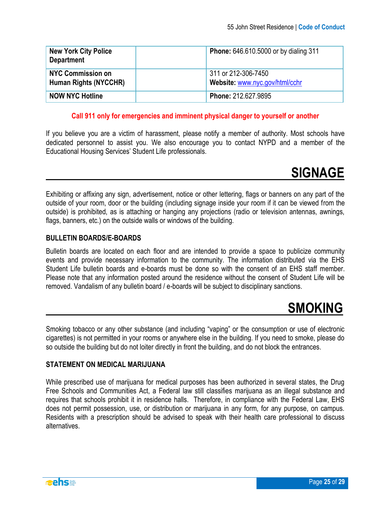| <b>New York City Police</b><br><b>Department</b>  | <b>Phone:</b> 646.610.5000 or by dialing 311          |
|---------------------------------------------------|-------------------------------------------------------|
| <b>NYC Commission on</b><br>Human Rights (NYCCHR) | 311 or 212-306-7450<br>Website: www.nyc.gov/html/cchr |
| <b>NOW NYC Hotline</b>                            | Phone: 212.627.9895                                   |

#### **Call 911 only for emergencies and imminent physical danger to yourself or another**

If you believe you are a victim of harassment, please notify a member of authority. Most schools have dedicated personnel to assist you. We also encourage you to contact NYPD and a member of the Educational Housing Services' Student Life professionals.

### <span id="page-24-0"></span> **SIGNAGE**

Exhibiting or affixing any sign, advertisement, notice or other lettering, flags or banners on any part of the outside of your room, door or the building (including signage inside your room if it can be viewed from the outside) is prohibited, as is attaching or hanging any projections (radio or television antennas, awnings, flags, banners, etc.) on the outside walls or windows of the building.

#### <span id="page-24-1"></span>**BULLETIN BOARDS/E-BOARDS**

Bulletin boards are located on each floor and are intended to provide a space to publicize community events and provide necessary information to the community. The information distributed via the EHS Student Life bulletin boards and e-boards must be done so with the consent of an EHS staff member. Please note that any information posted around the residence without the consent of Student Life will be removed. Vandalism of any bulletin board / e-boards will be subject to disciplinary sanctions.

### <span id="page-24-2"></span> **SMOKING**

Smoking tobacco or any other substance (and including "vaping" or the consumption or use of electronic cigarettes) is not permitted in your rooms or anywhere else in the building. If you need to smoke, please do so outside the building but do not loiter directly in front the building, and do not block the entrances.

#### **STATEMENT ON MEDICAL MARIJUANA**

While prescribed use of marijuana for medical purposes has been authorized in several states, the Drug Free Schools and Communities Act, a Federal law still classifies marijuana as an illegal substance and requires that schools prohibit it in residence halls. Therefore, in compliance with the Federal Law, EHS does not permit possession, use, or distribution or marijuana in any form, for any purpose, on campus. Residents with a prescription should be advised to speak with their health care professional to discuss alternatives.

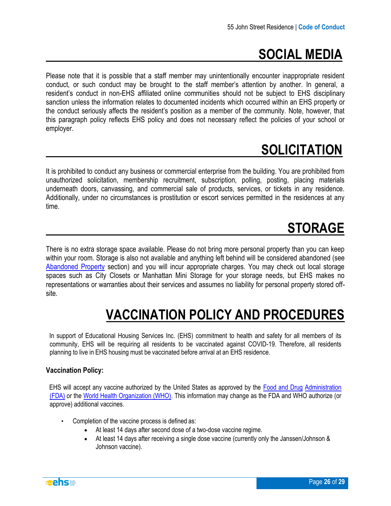### <span id="page-25-0"></span> **SOCIAL MEDIA**

Please note that it is possible that a staff member may unintentionally encounter inappropriate resident conduct, or such conduct may be brought to the staff member's attention by another. In general, a resident's conduct in non-EHS affiliated online communities should not be subject to EHS disciplinary sanction unless the information relates to documented incidents which occurred within an EHS property or the conduct seriously affects the resident's position as a member of the community. Note, however, that this paragraph policy reflects EHS policy and does not necessary reflect the policies of your school or employer.

### <span id="page-25-1"></span> **SOLICITATION**

It is prohibited to conduct any business or commercial enterprise from the building. You are prohibited from unauthorized solicitation, membership recruitment, subscription, polling, posting, placing materials underneath doors, canvassing, and commercial sale of products, services, or tickets in any residence. Additionally, under no circumstances is prostitution or escort services permitted in the residences at any time.

### <span id="page-25-2"></span> **STORAGE**

There is no extra storage space available. Please do not bring more personal property than you can keep within your room. Storage is also not available and anything left behind will be considered abandoned (see [Abandoned Property](#page-4-4) section) and you will incur appropriate charges. You may check out local storage spaces such as City Closets or Manhattan Mini Storage for your storage needs, but EHS makes no representations or warranties about their services and assumes no liability for personal property stored offsite.

### **VACCINATION POLICY AND PROCEDURES**

<span id="page-25-3"></span>In support of Educational Housing Services Inc. (EHS) commitment to health and safety for all members of its community, EHS will be requiring all residents to be vaccinated against COVID-19. Therefore, all residents planning to live in EHS housing must be vaccinated before arrival at an EHS residence.

#### **Vaccination Policy:**

EHS will accept any vaccine authorized by the United States as approved by the [Food and Drug](https://www.fda.gov/emergency-preparedness-and-response/coronavirus-disease-2019-covid-19/covid-19-vaccines) [Administration](https://www.fda.gov/emergency-preparedness-and-response/coronavirus-disease-2019-covid-19/covid-19-vaccines)  [\(FDA\)](https://www.fda.gov/emergency-preparedness-and-response/coronavirus-disease-2019-covid-19/covid-19-vaccines) or the [World Health Organization \(WHO\).](https://www.who.int/news/item/01-06-2021-who-validates-sinovac-covid-19-vaccine-for-emergency-use-and-issues-interim-policy-recommendations) This information may change as the FDA and WHO authorize (or approve) additional vaccines.

- Completion of the vaccine process is defined as:
	- At least 14 days after second dose of a two-dose vaccine regime.
	- At least 14 days after receiving a single dose vaccine (currently only the Janssen/Johnson & Johnson vaccine).

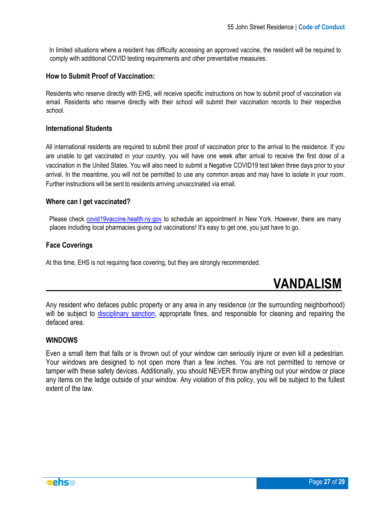In limited situations where a resident has difficulty accessing an approved vaccine, the resident will be required to comply with additional COVID testing requirements and other preventative measures.

#### **How to Submit Proof of Vaccination:**

Residents who reserve directly with EHS, will receive specific instructions on how to submit proof of vaccination via email. Residents who reserve directly with their school will submit their vaccination records to their respective school.

#### **International Students**

All international residents are required to submit their proof of vaccination prior to the arrival to the residence. If you are unable to get vaccinated in your country, you will have one week after arrival to receive the first dose of a vaccination in the United States. You will also need to submit a Negative COVID19 test taken three days prior to your arrival. In the meantime, you will not be permitted to use any common areas and may have to isolate in your room. Further instructions will be sent to residents arriving unvaccinated via email.

#### **Where can I get vaccinated?**

Please check covid19vaccine.health.ny.gov to schedule an appointment in New York. However, there are many places including local pharmacies giving out vaccinations! It's easy to get one, you just have to go.

#### **Face Coverings**

At this time, EHS is not requiring face covering, but they are strongly recommended.

### <span id="page-26-0"></span> **VANDALISM**

Any resident who defaces public property or any area in any residence (or the surrounding neighborhood) will be subject to disciplinary sanction, appropriate fines, and responsible for cleaning and repairing the defaced area.

#### <span id="page-26-1"></span>**WINDOWS**

Even a small item that falls or is thrown out of your window can seriously injure or even kill a pedestrian. Your windows are designed to not open more than a few inches. You are not permitted to remove or tamper with these safety devices. Additionally, you should NEVER throw anything out your window or place any items on the ledge outside of your window. Any violation of this policy, you will be subject to the fullest extent of the law.

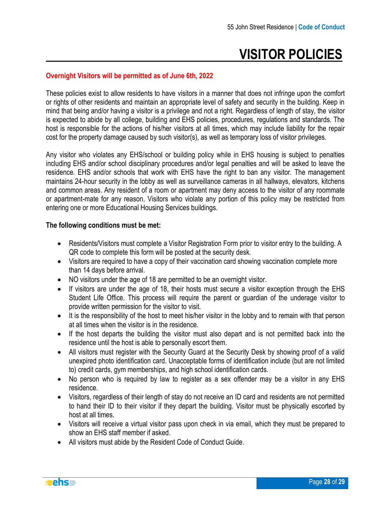### <span id="page-27-0"></span> **VISITOR POLICIES**

#### **Overnight Visitors will be permitted as of June 6th, 2022**

These policies exist to allow residents to have visitors in a manner that does not infringe upon the comfort or rights of other residents and maintain an appropriate level of safety and security in the building. Keep in mind that being and/or having a visitor is a privilege and not a right. Regardless of length of stay, the visitor is expected to abide by all college, building and EHS policies, procedures, regulations and standards. The host is responsible for the actions of his/her visitors at all times, which may include liability for the repair cost for the property damage caused by such visitor(s), as well as temporary loss of visitor privileges.

Any visitor who violates any EHS/school or building policy while in EHS housing is subject to penalties including EHS and/or school disciplinary procedures and/or legal penalties and will be asked to leave the residence. EHS and/or schools that work with EHS have the right to ban any visitor. The management maintains 24-hour security in the lobby as well as surveillance cameras in all hallways, elevators, kitchens and common areas. Any resident of a room or apartment may deny access to the visitor of any roommate or apartment-mate for any reason. Visitors who violate any portion of this policy may be restricted from entering one or more Educational Housing Services buildings.

#### **The following conditions must be met:**

- Residents/Visitors must complete a Visitor Registration Form prior to visitor entry to the building. A QR code to complete this form will be posted at the security desk.
- Visitors are required to have a copy of their vaccination card showing vaccination complete more than 14 days before arrival.
- NO visitors under the age of 18 are permitted to be an overnight visitor.
- If visitors are under the age of 18, their hosts must secure a visitor exception through the EHS Student Life Office. This process will require the parent or guardian of the underage visitor to provide written permission for the visitor to visit.
- It is the responsibility of the host to meet his/her visitor in the lobby and to remain with that person at all times when the visitor is in the residence.
- If the host departs the building the visitor must also depart and is not permitted back into the residence until the host is able to personally escort them.
- All visitors must register with the Security Guard at the Security Desk by showing proof of a valid unexpired photo identification card. Unacceptable forms of identification include (but are not limited to) credit cards, gym memberships, and high school identification cards.
- No person who is required by law to register as a sex offender may be a visitor in any EHS residence.
- Visitors, regardless of their length of stay do not receive an ID card and residents are not permitted to hand their ID to their visitor if they depart the building. Visitor must be physically escorted by host at all times.
- Visitors will receive a virtual visitor pass upon check in via email, which they must be prepared to show an EHS staff member if asked.
- All visitors must abide by the Resident Code of Conduct Guide.